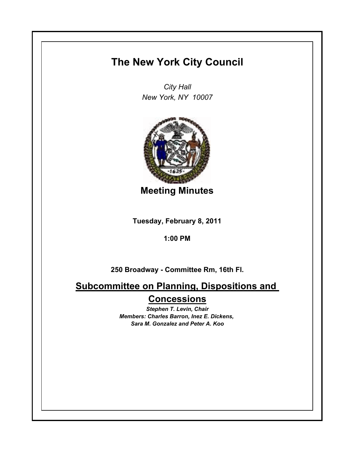## **The New York City Council**

*City Hall New York, NY 10007*



**Meeting Minutes**

**Tuesday, February 8, 2011**

**1:00 PM**

**250 Broadway - Committee Rm, 16th Fl.**

**Subcommittee on Planning, Dispositions and Concessions**

> *Stephen T. Levin, Chair Members: Charles Barron, Inez E. Dickens, Sara M. Gonzalez and Peter A. Koo*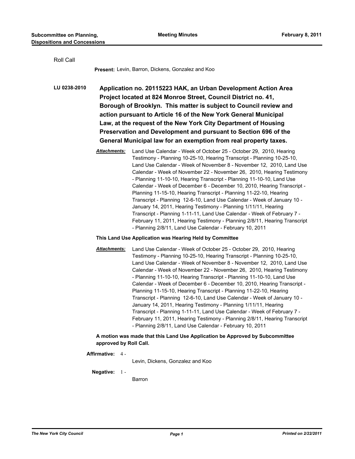| Roll Call    |                                                                                                                                                                                                                                                                                                                                                                                                                                                                                   |                                                                                                                                                                                                                                                                                                                                                                                                                                                                                                                                                                                                                                                                                                                                                                                                                                                                                            |  |
|--------------|-----------------------------------------------------------------------------------------------------------------------------------------------------------------------------------------------------------------------------------------------------------------------------------------------------------------------------------------------------------------------------------------------------------------------------------------------------------------------------------|--------------------------------------------------------------------------------------------------------------------------------------------------------------------------------------------------------------------------------------------------------------------------------------------------------------------------------------------------------------------------------------------------------------------------------------------------------------------------------------------------------------------------------------------------------------------------------------------------------------------------------------------------------------------------------------------------------------------------------------------------------------------------------------------------------------------------------------------------------------------------------------------|--|
|              |                                                                                                                                                                                                                                                                                                                                                                                                                                                                                   | <b>Present: Levin, Barron, Dickens, Gonzalez and Koo</b>                                                                                                                                                                                                                                                                                                                                                                                                                                                                                                                                                                                                                                                                                                                                                                                                                                   |  |
| LU 0238-2010 | Application no. 20115223 HAK, an Urban Development Action Area<br>Project located at 824 Monroe Street, Council District no. 41,<br>Borough of Brooklyn. This matter is subject to Council review and<br>action pursuant to Article 16 of the New York General Municipal<br>Law, at the request of the New York City Department of Housing<br>Preservation and Development and pursuant to Section 696 of the<br>General Municipal law for an exemption from real property taxes. |                                                                                                                                                                                                                                                                                                                                                                                                                                                                                                                                                                                                                                                                                                                                                                                                                                                                                            |  |
|              | <b>Attachments:</b>                                                                                                                                                                                                                                                                                                                                                                                                                                                               | Land Use Calendar - Week of October 25 - October 29, 2010, Hearing<br>Testimony - Planning 10-25-10, Hearing Transcript - Planning 10-25-10,<br>Land Use Calendar - Week of November 8 - November 12, 2010, Land Use<br>Calendar - Week of November 22 - November 26, 2010, Hearing Testimony<br>- Planning 11-10-10, Hearing Transcript - Planning 11-10-10, Land Use<br>Calendar - Week of December 6 - December 10, 2010, Hearing Transcript -<br>Planning 11-15-10, Hearing Transcript - Planning 11-22-10, Hearing<br>Transcript - Planning 12-6-10, Land Use Calendar - Week of January 10 -<br>January 14, 2011, Hearing Testimony - Planning 1/11/11, Hearing<br>Transcript - Planning 1-11-11, Land Use Calendar - Week of February 7 -<br>February 11, 2011, Hearing Testimony - Planning 2/8/11, Hearing Transcript<br>- Planning 2/8/11, Land Use Calendar - February 10, 2011 |  |
|              | This Land Use Application was Hearing Held by Committee                                                                                                                                                                                                                                                                                                                                                                                                                           |                                                                                                                                                                                                                                                                                                                                                                                                                                                                                                                                                                                                                                                                                                                                                                                                                                                                                            |  |
|              | <b>Attachments:</b>                                                                                                                                                                                                                                                                                                                                                                                                                                                               | Land Use Calendar - Week of October 25 - October 29, 2010, Hearing<br>Testimony - Planning 10-25-10, Hearing Transcript - Planning 10-25-10,<br>Land Use Calendar - Week of November 8 - November 12, 2010, Land Use                                                                                                                                                                                                                                                                                                                                                                                                                                                                                                                                                                                                                                                                       |  |

Testimony - Planning 10-25-10, Hearing Transcript - Planning 10-25-10, Land Use Calendar - Week of November 8 - November 12, 2010, Land Use Calendar - Week of November 22 - November 26, 2010, Hearing Testimony - Planning 11-10-10, Hearing Transcript - Planning 11-10-10, Land Use Calendar - Week of December 6 - December 10, 2010, Hearing Transcript - Planning 11-15-10, Hearing Transcript - Planning 11-22-10, Hearing Transcript - Planning 12-6-10, Land Use Calendar - Week of January 10 - January 14, 2011, Hearing Testimony - Planning 1/11/11, Hearing Transcript - Planning 1-11-11, Land Use Calendar - Week of February 7 - February 11, 2011, Hearing Testimony - Planning 2/8/11, Hearing Transcript - Planning 2/8/11, Land Use Calendar - February 10, 2011

## **A motion was made that this Land Use Application be Approved by Subcommittee approved by Roll Call.**

## **Affirmative:** 4 -

Levin, Dickens, Gonzalez and Koo

**Negative:** 1 -

Barron